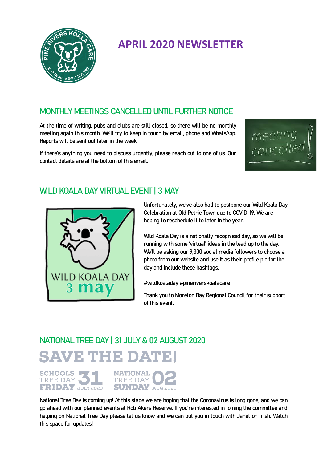

## **APRIL 2020 NEWSLETTER**

#### MONTHLY MEETINGS CANCELLED UNTIL FURTHER NOTICE

At the time of writing, pubs and clubs are still closed, so there will be no monthly meeting again this month. We'll try to keep in touch by email, phone and WhatsApp. Reports will be sent out later in the week.

If there's anything you need to discuss urgently, please reach out to one of us. Our contact details are at the bottom of this email.



#### WILD KOALA DAY VIRTUAL EVENT | 3 MAY



Unfortunately, we've also had to postpone our Wild Koala Day Celebration at Old Petrie Town due to COVID-19. We are hoping to reschedule it to later in the year.

Wild Koala Day is a nationally recognised day, so we will be running with some 'virtual' ideas in the lead up to the day. We'll be asking our 9,300 social media followers to choose a photo from our website and use it as their profile pic for the day and include these hashtags.

#wildkoaladay #pineriverskoalacare

Thank you to Moreton Bay Regional Council for their support of this event.

# NATIONAL TREE DAY | 31 JULY & 02 AUGUST 2020

**SAVE THE DATE!** 

**SCHOOLS NATIONAL** TREE DAY **TREE DAY FRIDAY JULY 2020 SUNDAY AUG 2020** 

National Tree Day is coming up! At this stage we are hoping that the Coronavirus is long gone, and we can go ahead with our planned events at Rob Akers Reserve. If you're interested in joining the committee and helping on National Tree Day please let us know and we can put you in touch with Janet or Trish. Watch this space for updates!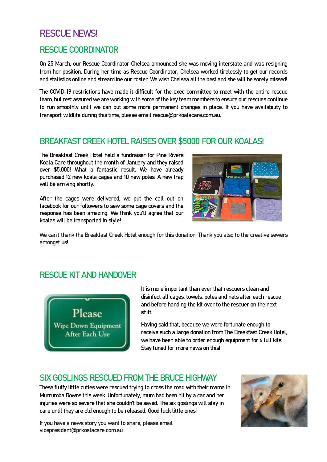### RESCUE NEWSL

#### RESCUE COORDINATOR

On 25 March, our Rescue Coordinator Chelsea announced she was moving interstate and was resigning from her position. During her time as Rescue Coordinator, Chelsea worked tirelessly to get our records and statistics online and streamline our roster. We wish Chelsea all the best and she will be sorely missed!

The COVID-19 restrictions have made it difficult for the exec committee to meet with the entire rescue team, but rest assured we are working with some of the key team members to ensure our rescues continue to run smoothly until we can put some more permanent changes in place. If you have availability to transport wildlife during this time, please email rescue@prkoalacare.com.au.

#### BREAKFAST CREEK HOTEL RAISES OVER \$5000 FOR OUR KOALAS!

The Breakfast Creek Hotel held a fundraiser for Pine Rivers Koala Care throughout the month of January and they raised over \$5,000! What a fantastic result. We have already purchased 12 new koala cages and 10 new poles. A new trap will be arriving shortly.

After the cages were delivered, we put the call out on facebook for our followers to sew some cage covers and the response has been amazing. We think you'll agree that our koalas will be transported in style!



We can't thank the Breakfast Creek Hotel enough for this donation. Thank you also to the creative sewers amongst us!

#### RESCUE KIT AND HANDOVER



It is more important than ever that rescuers clean and disinfect all cages, towels, poles and nets after each rescue and before handing the kit over to the rescuer on the next shift.

Having said that, because we were fortunate enough to receive such a large donation from The Breakfast Creek Hotel, we have been able to order enough equipment for 6 full kits. Stay tuned for more news on this!

#### SIX GOSLINGS RESCUED FROM THE BRUCE HIGHWAY

These fluffy little cuties were rescued trying to cross the road with their mama in Murrumba Downs this week. Unfortunately, mum had been hit by a car and her injuries were so severe that she couldn't be saved. The six goslings will stay in care until they are old enough to be released. Good luck little ones!

If you have a news story you want to share, please email vicepresident@prkoalacare.com.au

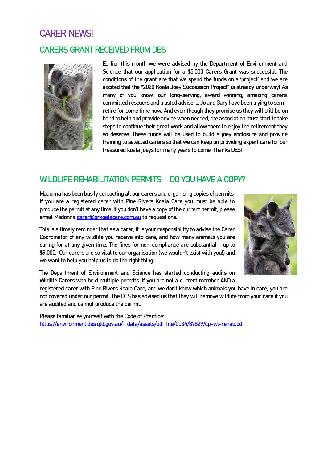#### CARER NEWS!

#### CARERS GRANT RECEIVED FROM DES



Earlier this month we were advised by the Department of Environment and Science that our application for a \$5,000 Carers Grant was successful. The conditions of the grant are that we spend the funds on a 'project' and we are excited that the "2020 Koala Joey Succession Project" is already underway! As many of you know, our long-serving, award winning, amazing carers, committed rescuers and trusted advisers, Jo and Gary have been trying to semiretire for some time now. And even though they promise us they will still be on hand to help and provide advice when needed, the association must start to take steps to continue their great work and allow them to enjoy the retirement they so deserve. These funds will be used to build a joey enclosure and provide training to selected carers so that we can keep on providing expert care for our treasured koala joeys for many years to come. Thanks DES!

#### WILDLIFE REHABILITATION PERMITS – DO YOU HAVE A COPY?

Madonna has been busily contacting all our carers and organising copies of permits. If you are a registered carer with Pine Rivers Koala Care you must be able to produce the permit at any time. If you don't have a copy of the current permit, please email Madonna [carer@prkoalacare.com.au](mailto:carer@prkoalacare.com.au) to request one.

This is a timely reminder that as a carer, it is your responsibility to advise the Carer Coordinator of any wildlife you receive into care, and how many animals you are caring for at any given time. The fines for non-compliance are substantial – up to \$9,000. Our carers are so vital to our organisation (we wouldn't exist with you!) and we want to help you help us to do the right thing.



The Department of Environment and Science has started conducting audits on Wildlife Carers who hold multiple permits. If you are not a current member AND a

registered carer with Pine Rivers Koala Care, and we don't know which animals you have in care, you are not covered under our permit. The DES has advised us that they will remove wildlife from your care if you are audited and cannot produce the permit.

Please familiarise yourself with the Code of Practice: [https://environment.des.qld.gov.au/\\_\\_data/assets/pdf\\_file/0034/87829/cp-wl-rehab.pdf](https://environment.des.qld.gov.au/__data/assets/pdf_file/0034/87829/cp-wl-rehab.pdf)